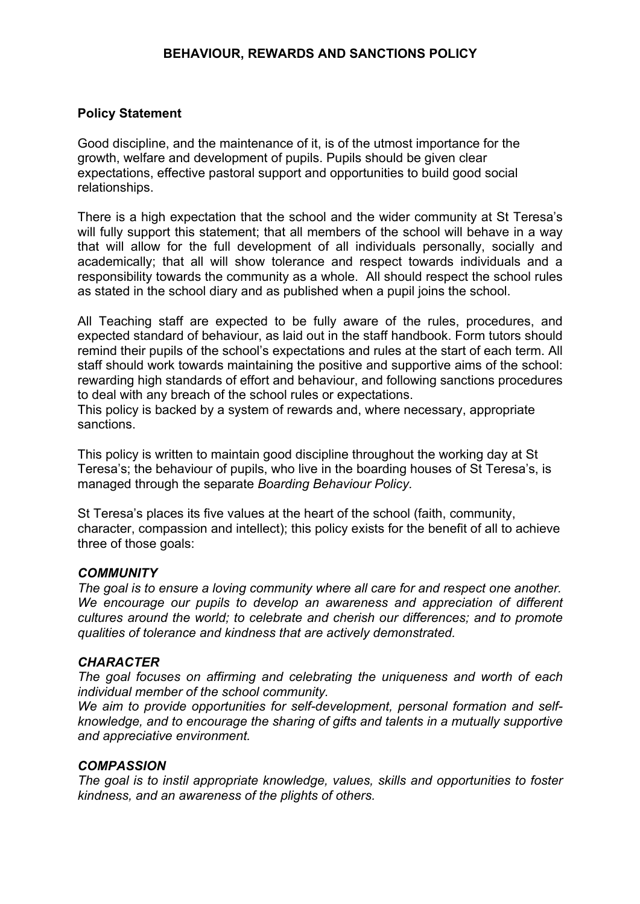### **BEHAVIOUR, REWARDS AND SANCTIONS POLICY**

#### **Policy Statement**

Good discipline, and the maintenance of it, is of the utmost importance for the growth, welfare and development of pupils. Pupils should be given clear expectations, effective pastoral support and opportunities to build good social relationships.

There is a high expectation that the school and the wider community at St Teresa's will fully support this statement; that all members of the school will behave in a way that will allow for the full development of all individuals personally, socially and academically; that all will show tolerance and respect towards individuals and a responsibility towards the community as a whole. All should respect the school rules as stated in the school diary and as published when a pupil joins the school.

All Teaching staff are expected to be fully aware of the rules, procedures, and expected standard of behaviour, as laid out in the staff handbook. Form tutors should remind their pupils of the school's expectations and rules at the start of each term. All staff should work towards maintaining the positive and supportive aims of the school: rewarding high standards of effort and behaviour, and following sanctions procedures to deal with any breach of the school rules or expectations.

This policy is backed by a system of rewards and, where necessary, appropriate sanctions.

This policy is written to maintain good discipline throughout the working day at St Teresa's; the behaviour of pupils, who live in the boarding houses of St Teresa's, is managed through the separate *Boarding Behaviour Policy.*

St Teresa's places its five values at the heart of the school (faith, community, character, compassion and intellect); this policy exists for the benefit of all to achieve three of those goals:

#### *COMMUNITY*

*The goal is to ensure a loving community where all care for and respect one another. We encourage our pupils to develop an awareness and appreciation of different cultures around the world; to celebrate and cherish our differences; and to promote qualities of tolerance and kindness that are actively demonstrated.* 

#### *CHARACTER*

*The goal focuses on affirming and celebrating the uniqueness and worth of each individual member of the school community.* 

*We aim to provide opportunities for self-development, personal formation and selfknowledge, and to encourage the sharing of gifts and talents in a mutually supportive and appreciative environment.*

#### *COMPASSION*

*The goal is to instil appropriate knowledge, values, skills and opportunities to foster kindness, and an awareness of the plights of others.*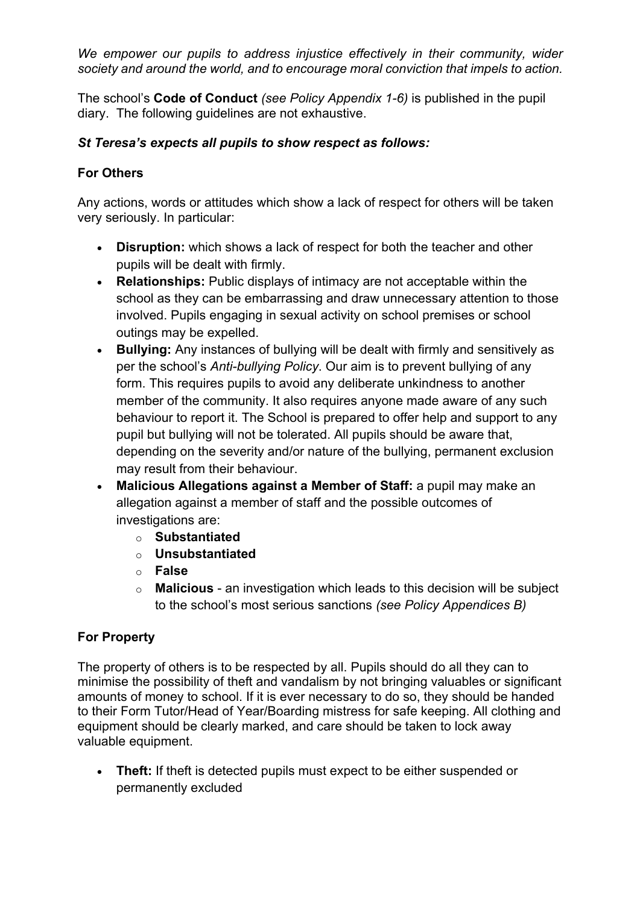*We empower our pupils to address injustice effectively in their community, wider society and around the world, and to encourage moral conviction that impels to action.*

The school's **Code of Conduct** *(see Policy Appendix 1-6)* is published in the pupil diary. The following guidelines are not exhaustive.

## *St Teresa's expects all pupils to show respect as follows:*

# **For Others**

Any actions, words or attitudes which show a lack of respect for others will be taken very seriously. In particular:

- **Disruption:** which shows a lack of respect for both the teacher and other pupils will be dealt with firmly.
- **Relationships:** Public displays of intimacy are not acceptable within the school as they can be embarrassing and draw unnecessary attention to those involved. Pupils engaging in sexual activity on school premises or school outings may be expelled.
- **Bullying:** Any instances of bullying will be dealt with firmly and sensitively as per the school's *Anti-bullying Policy*. Our aim is to prevent bullying of any form. This requires pupils to avoid any deliberate unkindness to another member of the community. It also requires anyone made aware of any such behaviour to report it. The School is prepared to offer help and support to any pupil but bullying will not be tolerated. All pupils should be aware that, depending on the severity and/or nature of the bullying, permanent exclusion may result from their behaviour.
- **Malicious Allegations against a Member of Staff:** a pupil may make an allegation against a member of staff and the possible outcomes of investigations are:
	- o **Substantiated**
	- o **Unsubstantiated**
	- o **False**
	- o **Malicious** an investigation which leads to this decision will be subject to the school's most serious sanctions *(see Policy Appendices B)*

# **For Property**

The property of others is to be respected by all. Pupils should do all they can to minimise the possibility of theft and vandalism by not bringing valuables or significant amounts of money to school. If it is ever necessary to do so, they should be handed to their Form Tutor/Head of Year/Boarding mistress for safe keeping. All clothing and equipment should be clearly marked, and care should be taken to lock away valuable equipment.

• **Theft:** If theft is detected pupils must expect to be either suspended or permanently excluded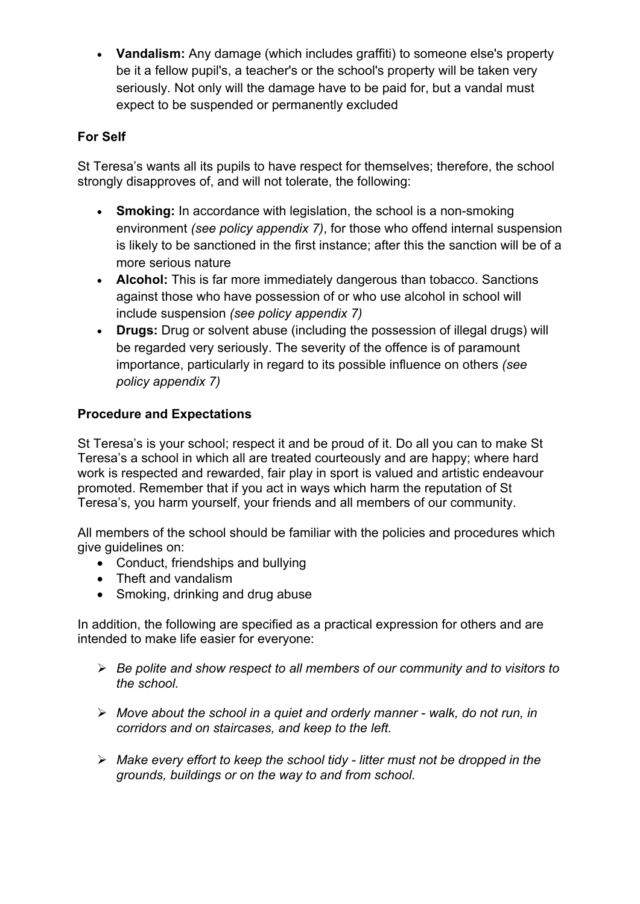• **Vandalism:** Any damage (which includes graffiti) to someone else's property be it a fellow pupil's, a teacher's or the school's property will be taken very seriously. Not only will the damage have to be paid for, but a vandal must expect to be suspended or permanently excluded

# **For Self**

St Teresa's wants all its pupils to have respect for themselves; therefore, the school strongly disapproves of, and will not tolerate, the following:

- **Smoking:** In accordance with legislation, the school is a non-smoking environment *(see policy appendix 7)*, for those who offend internal suspension is likely to be sanctioned in the first instance; after this the sanction will be of a more serious nature
- **Alcohol:** This is far more immediately dangerous than tobacco. Sanctions against those who have possession of or who use alcohol in school will include suspension *(see policy appendix 7)*
- **Drugs:** Drug or solvent abuse (including the possession of illegal drugs) will be regarded very seriously. The severity of the offence is of paramount importance, particularly in regard to its possible influence on others *(see policy appendix 7)*

# **Procedure and Expectations**

St Teresa's is your school; respect it and be proud of it. Do all you can to make St Teresa's a school in which all are treated courteously and are happy; where hard work is respected and rewarded, fair play in sport is valued and artistic endeavour promoted. Remember that if you act in ways which harm the reputation of St Teresa's, you harm yourself, your friends and all members of our community.

All members of the school should be familiar with the policies and procedures which give guidelines on:

- Conduct, friendships and bullying
- Theft and vandalism
- Smoking, drinking and drug abuse

In addition, the following are specified as a practical expression for others and are intended to make life easier for everyone:

- Ø *Be polite and show respect to all members of our community and to visitors to the school.*
- Ø *Move about the school in a quiet and orderly manner - walk, do not run, in corridors and on staircases, and keep to the left.*
- Ø *Make every effort to keep the school tidy - litter must not be dropped in the grounds, buildings or on the way to and from school.*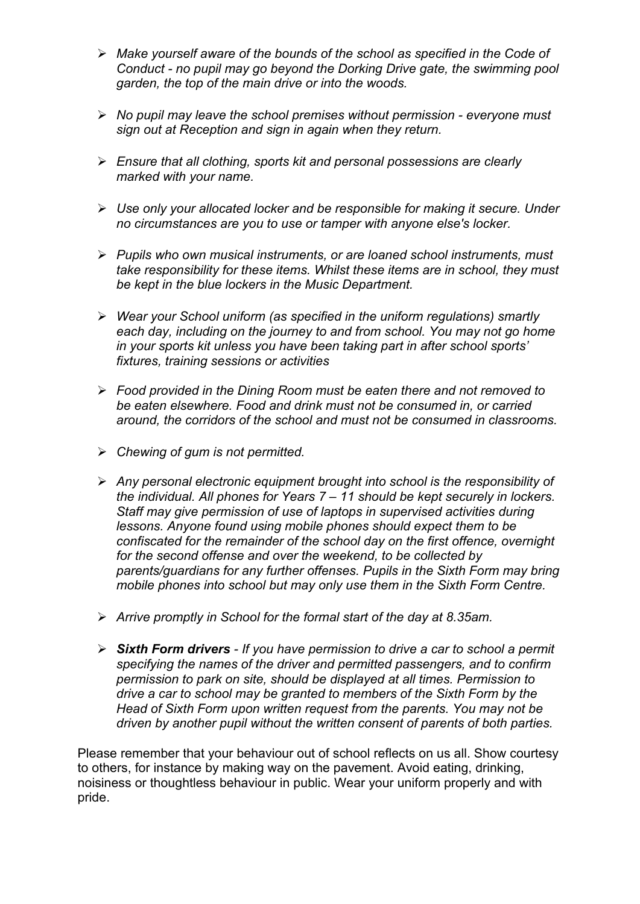- Ø *Make yourself aware of the bounds of the school as specified in the Code of Conduct - no pupil may go beyond the Dorking Drive gate, the swimming pool garden, the top of the main drive or into the woods.*
- Ø *No pupil may leave the school premises without permission - everyone must sign out at Reception and sign in again when they return.*
- Ø *Ensure that all clothing, sports kit and personal possessions are clearly marked with your name.*
- Ø *Use only your allocated locker and be responsible for making it secure. Under no circumstances are you to use or tamper with anyone else's locker.*
- Ø *Pupils who own musical instruments, or are loaned school instruments, must take responsibility for these items. Whilst these items are in school, they must be kept in the blue lockers in the Music Department.*
- Ø *Wear your School uniform (as specified in the uniform regulations) smartly each day, including on the journey to and from school. You may not go home in your sports kit unless you have been taking part in after school sports' fixtures, training sessions or activities*
- Ø *Food provided in the Dining Room must be eaten there and not removed to be eaten elsewhere. Food and drink must not be consumed in, or carried around, the corridors of the school and must not be consumed in classrooms.*
- Ø *Chewing of gum is not permitted.*
- Ø *Any personal electronic equipment brought into school is the responsibility of the individual. All phones for Years 7 – 11 should be kept securely in lockers. Staff may give permission of use of laptops in supervised activities during lessons. Anyone found using mobile phones should expect them to be confiscated for the remainder of the school day on the first offence, overnight for the second offense and over the weekend, to be collected by parents/guardians for any further offenses. Pupils in the Sixth Form may bring mobile phones into school but may only use them in the Sixth Form Centre.*
- Ø *Arrive promptly in School for the formal start of the day at 8.35am.*
- Ø *Sixth Form drivers - If you have permission to drive a car to school a permit specifying the names of the driver and permitted passengers, and to confirm permission to park on site, should be displayed at all times. Permission to drive a car to school may be granted to members of the Sixth Form by the Head of Sixth Form upon written request from the parents. You may not be driven by another pupil without the written consent of parents of both parties.*

Please remember that your behaviour out of school reflects on us all. Show courtesy to others, for instance by making way on the pavement. Avoid eating, drinking, noisiness or thoughtless behaviour in public. Wear your uniform properly and with pride.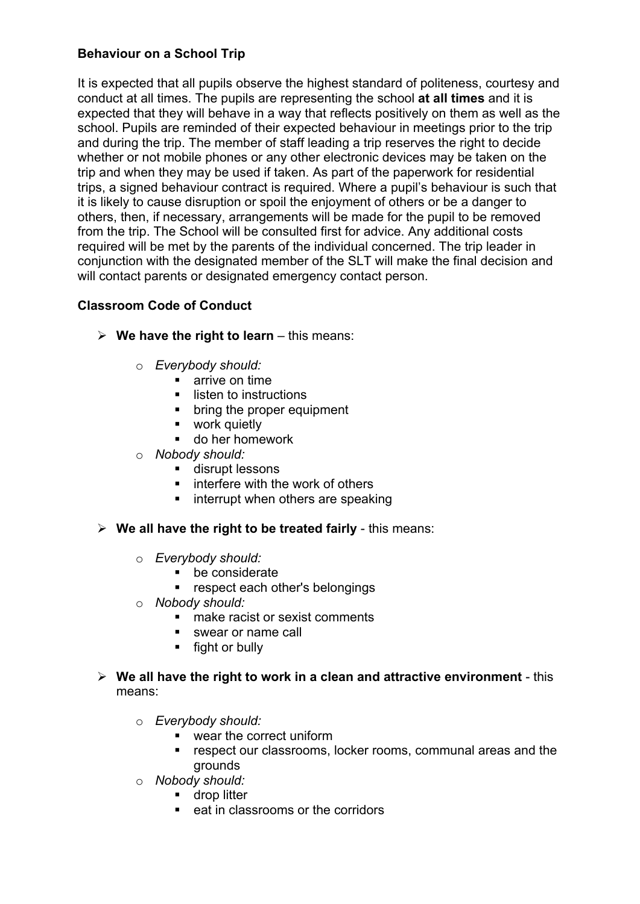### **Behaviour on a School Trip**

It is expected that all pupils observe the highest standard of politeness, courtesy and conduct at all times. The pupils are representing the school **at all times** and it is expected that they will behave in a way that reflects positively on them as well as the school. Pupils are reminded of their expected behaviour in meetings prior to the trip and during the trip. The member of staff leading a trip reserves the right to decide whether or not mobile phones or any other electronic devices may be taken on the trip and when they may be used if taken. As part of the paperwork for residential trips, a signed behaviour contract is required. Where a pupil's behaviour is such that it is likely to cause disruption or spoil the enjoyment of others or be a danger to others, then, if necessary, arrangements will be made for the pupil to be removed from the trip. The School will be consulted first for advice. Any additional costs required will be met by the parents of the individual concerned. The trip leader in conjunction with the designated member of the SLT will make the final decision and will contact parents or designated emergency contact person.

### **Classroom Code of Conduct**

- $\triangleright$  We have the right to learn this means:
	- o *Everybody should:*
		- arrive on time
		- listen to instructions
		- bring the proper equipment
		- work quietly
		- do her homework
	- o *Nobody should:* 
		- disrupt lessons
		- interfere with the work of others
		- interrupt when others are speaking
- Ø **We all have the right to be treated fairly** this means:
	- o *Everybody should:*
		- be considerate
		- respect each other's belongings
	- o *Nobody should:* 
		- make racist or sexist comments
		- swear or name call
		- fight or bully
- Ø **We all have the right to work in a clean and attractive environment** this means:
	- o *Everybody should:*
		- wear the correct uniform
		- respect our classrooms, locker rooms, communal areas and the grounds
	- o *Nobody should:* 
		- **•** drop litter
		- eat in classrooms or the corridors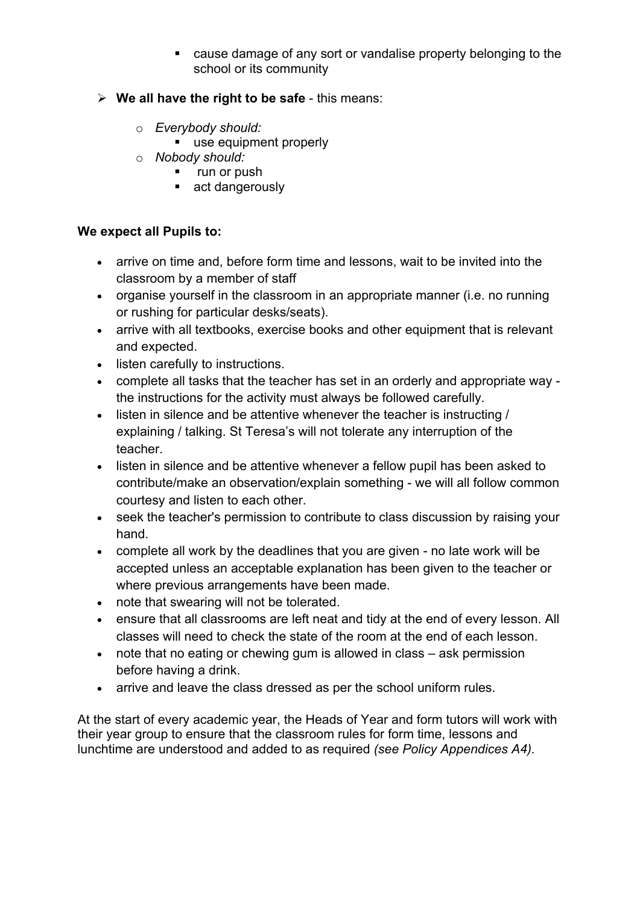- cause damage of any sort or vandalise property belonging to the school or its community
- Ø **We all have the right to be safe** this means:
	- o *Everybody should:*
		- use equipment properly
	- o *Nobody should:* 
		- run or push
		- act dangerously

## **We expect all Pupils to:**

- arrive on time and, before form time and lessons, wait to be invited into the classroom by a member of staff
- organise yourself in the classroom in an appropriate manner (i.e. no running or rushing for particular desks/seats).
- arrive with all textbooks, exercise books and other equipment that is relevant and expected.
- listen carefully to instructions.
- complete all tasks that the teacher has set in an orderly and appropriate way the instructions for the activity must always be followed carefully.
- listen in silence and be attentive whenever the teacher is instructing / explaining / talking. St Teresa's will not tolerate any interruption of the teacher.
- listen in silence and be attentive whenever a fellow pupil has been asked to contribute/make an observation/explain something - we will all follow common courtesy and listen to each other.
- seek the teacher's permission to contribute to class discussion by raising your hand.
- complete all work by the deadlines that you are given no late work will be accepted unless an acceptable explanation has been given to the teacher or where previous arrangements have been made.
- note that swearing will not be tolerated.
- ensure that all classrooms are left neat and tidy at the end of every lesson. All classes will need to check the state of the room at the end of each lesson.
- note that no eating or chewing gum is allowed in class ask permission before having a drink.
- arrive and leave the class dressed as per the school uniform rules.

At the start of every academic year, the Heads of Year and form tutors will work with their year group to ensure that the classroom rules for form time, lessons and lunchtime are understood and added to as required *(see Policy Appendices A4).*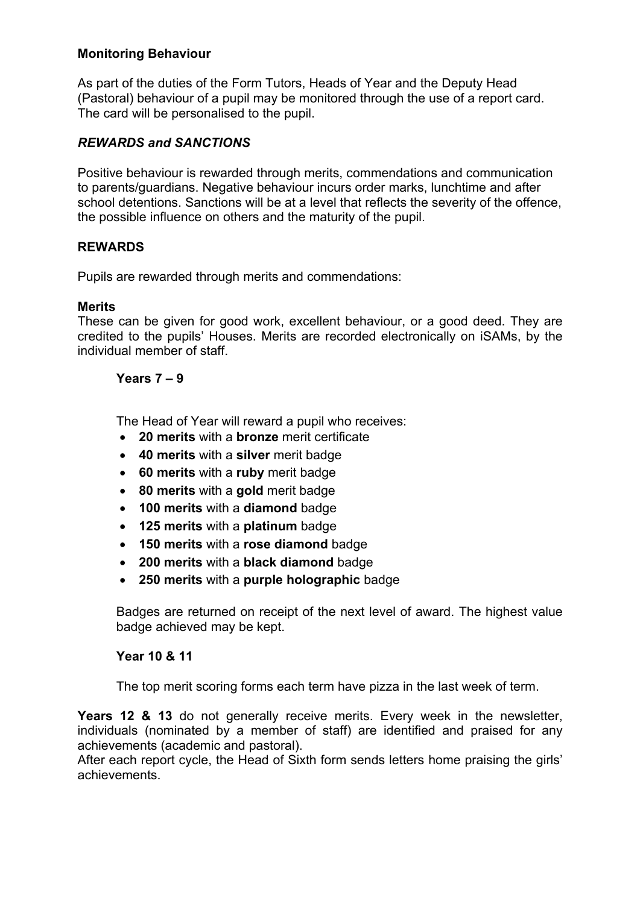### **Monitoring Behaviour**

As part of the duties of the Form Tutors, Heads of Year and the Deputy Head (Pastoral) behaviour of a pupil may be monitored through the use of a report card. The card will be personalised to the pupil.

### *REWARDS and SANCTIONS*

Positive behaviour is rewarded through merits, commendations and communication to parents/guardians. Negative behaviour incurs order marks, lunchtime and after school detentions. Sanctions will be at a level that reflects the severity of the offence, the possible influence on others and the maturity of the pupil.

### **REWARDS**

Pupils are rewarded through merits and commendations:

### **Merits**

These can be given for good work, excellent behaviour, or a good deed. They are credited to the pupils' Houses. Merits are recorded electronically on iSAMs, by the individual member of staff.

#### **Years 7 – 9**

The Head of Year will reward a pupil who receives:

- **20 merits** with a **bronze** merit certificate
- **40 merits** with a **silver** merit badge
- **60 merits** with a **ruby** merit badge
- **80 merits** with a **gold** merit badge
- **100 merits** with a **diamond** badge
- **125 merits** with a **platinum** badge
- **150 merits** with a **rose diamond** badge
- **200 merits** with a **black diamond** badge
- **250 merits** with a **purple holographic** badge

Badges are returned on receipt of the next level of award. The highest value badge achieved may be kept.

### **Year 10 & 11**

The top merit scoring forms each term have pizza in the last week of term.

Years 12 & 13 do not generally receive merits. Every week in the newsletter, individuals (nominated by a member of staff) are identified and praised for any achievements (academic and pastoral).

After each report cycle, the Head of Sixth form sends letters home praising the girls' achievements.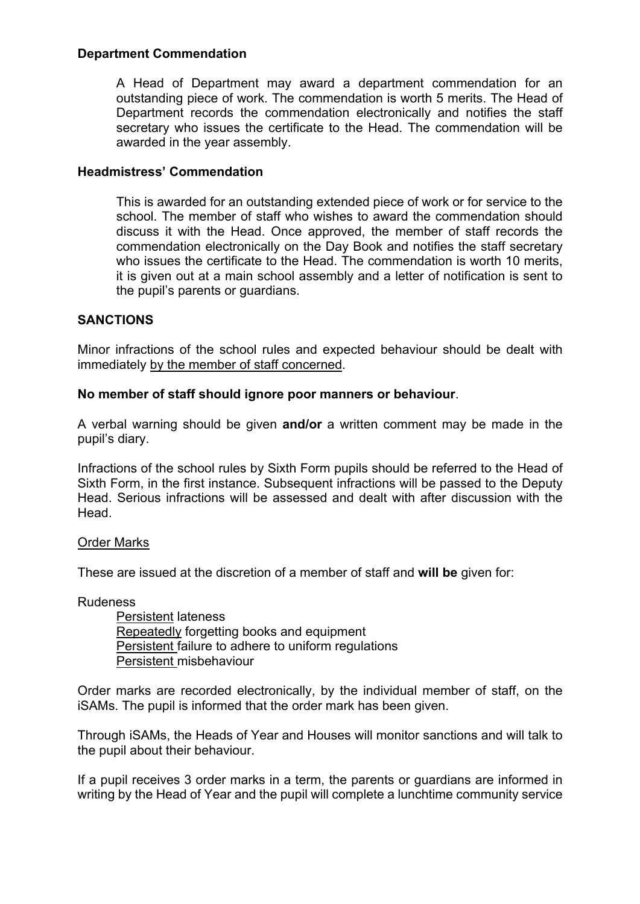### **Department Commendation**

A Head of Department may award a department commendation for an outstanding piece of work. The commendation is worth 5 merits. The Head of Department records the commendation electronically and notifies the staff secretary who issues the certificate to the Head. The commendation will be awarded in the year assembly.

#### **Headmistress' Commendation**

This is awarded for an outstanding extended piece of work or for service to the school. The member of staff who wishes to award the commendation should discuss it with the Head. Once approved, the member of staff records the commendation electronically on the Day Book and notifies the staff secretary who issues the certificate to the Head. The commendation is worth 10 merits, it is given out at a main school assembly and a letter of notification is sent to the pupil's parents or guardians.

### **SANCTIONS**

Minor infractions of the school rules and expected behaviour should be dealt with immediately by the member of staff concerned.

#### **No member of staff should ignore poor manners or behaviour**.

A verbal warning should be given **and/or** a written comment may be made in the pupil's diary.

Infractions of the school rules by Sixth Form pupils should be referred to the Head of Sixth Form, in the first instance. Subsequent infractions will be passed to the Deputy Head. Serious infractions will be assessed and dealt with after discussion with the Head.

#### Order Marks

These are issued at the discretion of a member of staff and **will be** given for:

Rudeness

Persistent lateness Repeatedly forgetting books and equipment Persistent failure to adhere to uniform regulations Persistent misbehaviour

Order marks are recorded electronically, by the individual member of staff, on the iSAMs. The pupil is informed that the order mark has been given.

Through iSAMs, the Heads of Year and Houses will monitor sanctions and will talk to the pupil about their behaviour.

If a pupil receives 3 order marks in a term, the parents or guardians are informed in writing by the Head of Year and the pupil will complete a lunchtime community service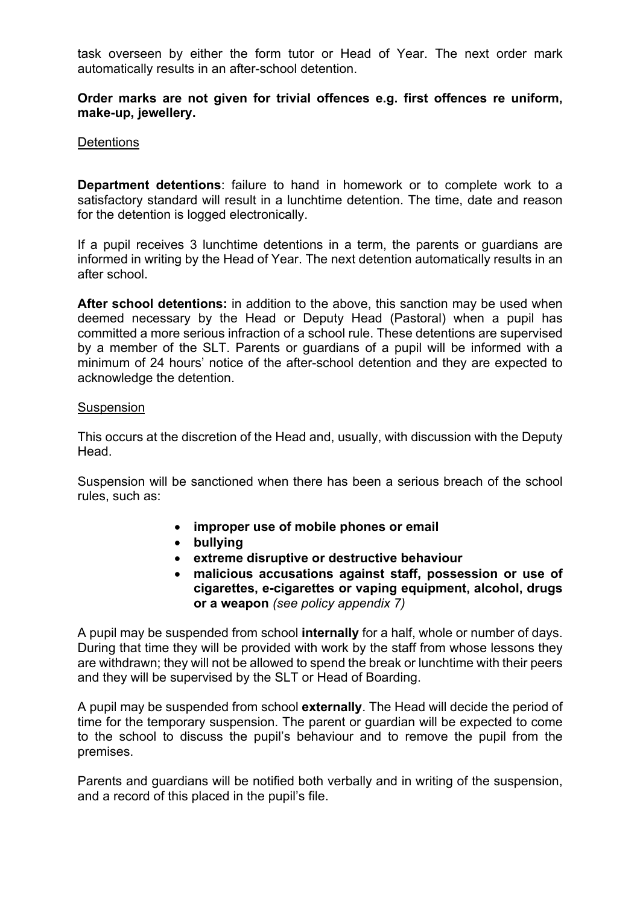task overseen by either the form tutor or Head of Year. The next order mark automatically results in an after-school detention.

### **Order marks are not given for trivial offences e.g. first offences re uniform, make-up, jewellery.**

#### **Detentions**

**Department detentions**: failure to hand in homework or to complete work to a satisfactory standard will result in a lunchtime detention. The time, date and reason for the detention is logged electronically.

If a pupil receives 3 lunchtime detentions in a term, the parents or guardians are informed in writing by the Head of Year. The next detention automatically results in an after school.

**After school detentions:** in addition to the above, this sanction may be used when deemed necessary by the Head or Deputy Head (Pastoral) when a pupil has committed a more serious infraction of a school rule. These detentions are supervised by a member of the SLT. Parents or guardians of a pupil will be informed with a minimum of 24 hours' notice of the after-school detention and they are expected to acknowledge the detention.

#### **Suspension**

This occurs at the discretion of the Head and, usually, with discussion with the Deputy Head.

Suspension will be sanctioned when there has been a serious breach of the school rules, such as:

- **improper use of mobile phones or email**
- **bullying**
- **extreme disruptive or destructive behaviour**
- **malicious accusations against staff, possession or use of cigarettes, e-cigarettes or vaping equipment, alcohol, drugs or a weapon** *(see policy appendix 7)*

A pupil may be suspended from school **internally** for a half, whole or number of days. During that time they will be provided with work by the staff from whose lessons they are withdrawn; they will not be allowed to spend the break or lunchtime with their peers and they will be supervised by the SLT or Head of Boarding.

A pupil may be suspended from school **externally**. The Head will decide the period of time for the temporary suspension. The parent or guardian will be expected to come to the school to discuss the pupil's behaviour and to remove the pupil from the premises.

Parents and guardians will be notified both verbally and in writing of the suspension, and a record of this placed in the pupil's file.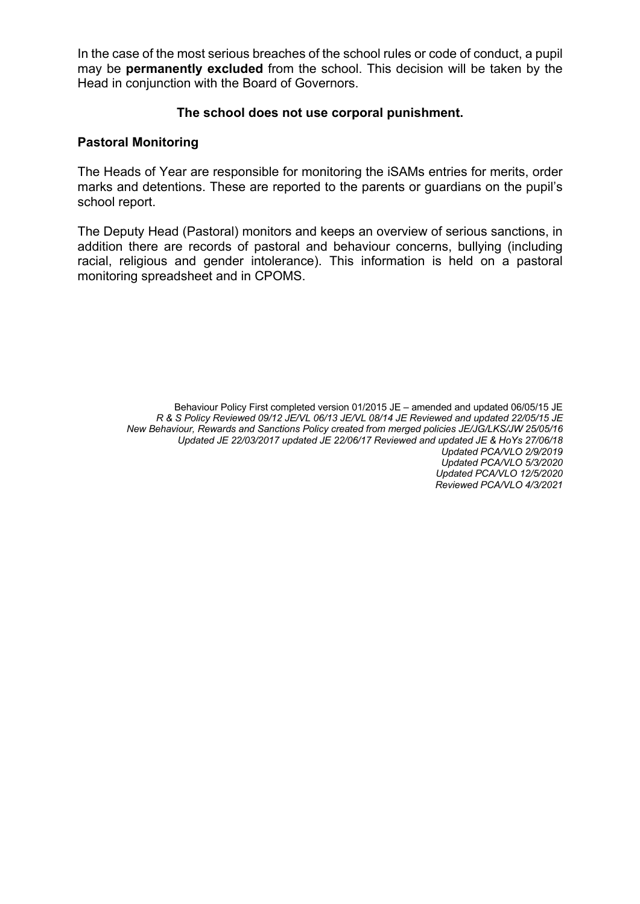In the case of the most serious breaches of the school rules or code of conduct, a pupil may be **permanently excluded** from the school. This decision will be taken by the Head in conjunction with the Board of Governors.

### **The school does not use corporal punishment.**

### **Pastoral Monitoring**

The Heads of Year are responsible for monitoring the iSAMs entries for merits, order marks and detentions. These are reported to the parents or guardians on the pupil's school report.

The Deputy Head (Pastoral) monitors and keeps an overview of serious sanctions, in addition there are records of pastoral and behaviour concerns, bullying (including racial, religious and gender intolerance). This information is held on a pastoral monitoring spreadsheet and in CPOMS.

> Behaviour Policy First completed version 01/2015 JE – amended and updated 06/05/15 JE *R & S Policy Reviewed 09/12 JE/VL 06/13 JE/VL 08/14 JE Reviewed and updated 22/05/15 JE New Behaviour, Rewards and Sanctions Policy created from merged policies JE/JG/LKS/JW 25/05/16 Updated JE 22/03/2017 updated JE 22/06/17 Reviewed and updated JE & HoYs 27/06/18 Updated PCA/VLO 2/9/2019 Updated PCA/VLO 5/3/2020 Updated PCA/VLO 12/5/2020 Reviewed PCA/VLO 4/3/2021*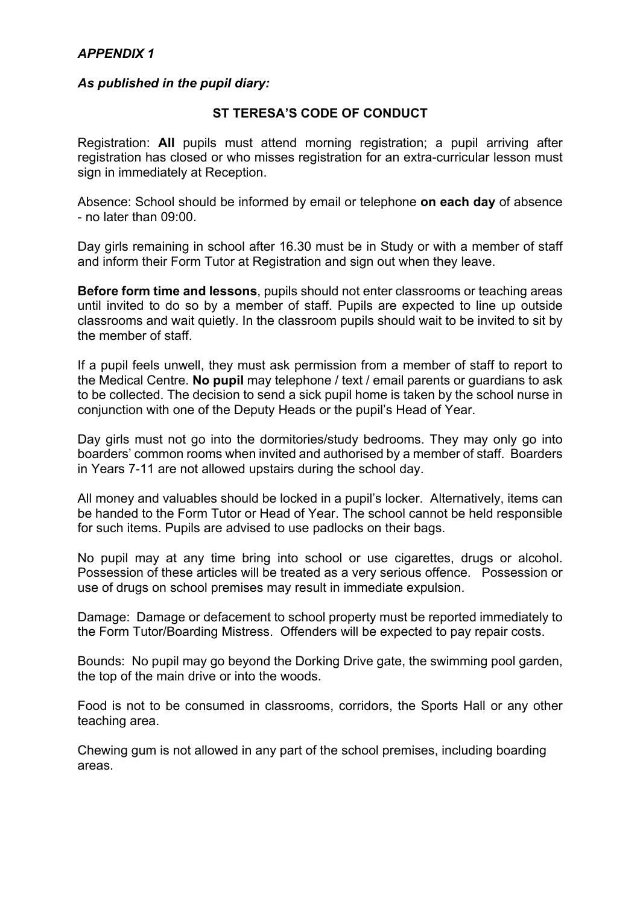### *APPENDIX 1*

#### *As published in the pupil diary:*

#### **ST TERESA'S CODE OF CONDUCT**

Registration: **All** pupils must attend morning registration; a pupil arriving after registration has closed or who misses registration for an extra-curricular lesson must sign in immediately at Reception.

Absence: School should be informed by email or telephone **on each day** of absence - no later than 09:00.

Day girls remaining in school after 16.30 must be in Study or with a member of staff and inform their Form Tutor at Registration and sign out when they leave.

**Before form time and lessons**, pupils should not enter classrooms or teaching areas until invited to do so by a member of staff. Pupils are expected to line up outside classrooms and wait quietly. In the classroom pupils should wait to be invited to sit by the member of staff.

If a pupil feels unwell, they must ask permission from a member of staff to report to the Medical Centre. **No pupil** may telephone / text / email parents or guardians to ask to be collected. The decision to send a sick pupil home is taken by the school nurse in conjunction with one of the Deputy Heads or the pupil's Head of Year.

Day girls must not go into the dormitories/study bedrooms. They may only go into boarders' common rooms when invited and authorised by a member of staff. Boarders in Years 7-11 are not allowed upstairs during the school day.

All money and valuables should be locked in a pupil's locker. Alternatively, items can be handed to the Form Tutor or Head of Year. The school cannot be held responsible for such items. Pupils are advised to use padlocks on their bags.

No pupil may at any time bring into school or use cigarettes, drugs or alcohol. Possession of these articles will be treated as a very serious offence. Possession or use of drugs on school premises may result in immediate expulsion.

Damage: Damage or defacement to school property must be reported immediately to the Form Tutor/Boarding Mistress. Offenders will be expected to pay repair costs.

Bounds: No pupil may go beyond the Dorking Drive gate, the swimming pool garden, the top of the main drive or into the woods.

Food is not to be consumed in classrooms, corridors, the Sports Hall or any other teaching area.

Chewing gum is not allowed in any part of the school premises, including boarding areas.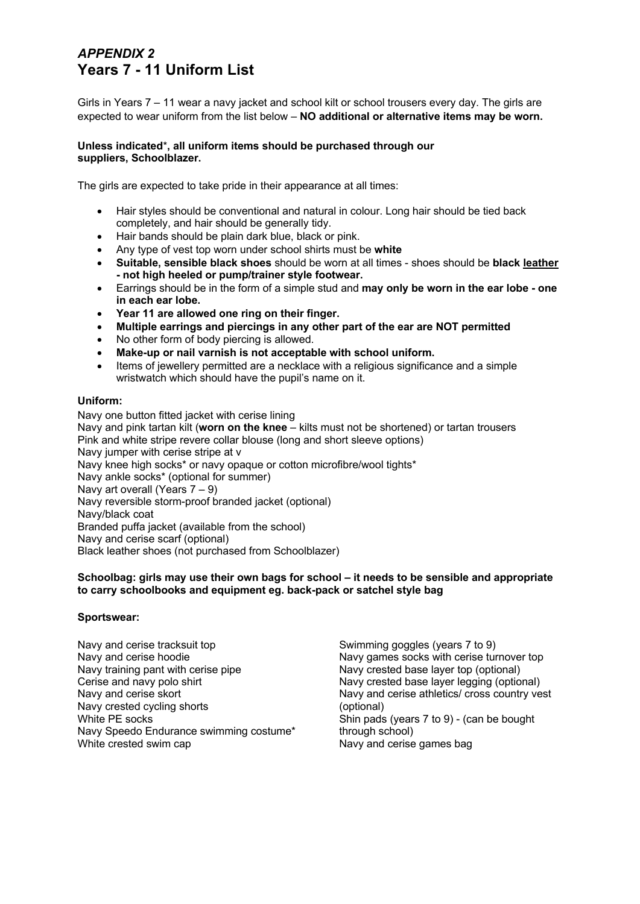# *APPENDIX 2* **Years 7 - 11 Uniform List**

Girls in Years 7 – 11 wear a navy jacket and school kilt or school trousers every day. The girls are expected to wear uniform from the list below – **NO additional or alternative items may be worn.** 

#### **Unless indicated**\***, all uniform items should be purchased through our suppliers, Schoolblazer.**

The girls are expected to take pride in their appearance at all times:

- Hair styles should be conventional and natural in colour. Long hair should be tied back completely, and hair should be generally tidy.
- Hair bands should be plain dark blue, black or pink.
- Any type of vest top worn under school shirts must be **white**
- **Suitable, sensible black shoes** should be worn at all times shoes should be **black leather - not high heeled or pump/trainer style footwear.**
- Earrings should be in the form of a simple stud and **may only be worn in the ear lobe - one in each ear lobe.**
- **Year 11 are allowed one ring on their finger.**
- **Multiple earrings and piercings in any other part of the ear are NOT permitted**
- No other form of body piercing is allowed.
- **Make-up or nail varnish is not acceptable with school uniform.**
- Items of jewellery permitted are a necklace with a religious significance and a simple wristwatch which should have the pupil's name on it.

#### **Uniform:**

Navy one button fitted jacket with cerise lining Navy and pink tartan kilt (**worn on the knee** – kilts must not be shortened) or tartan trousers Pink and white stripe revere collar blouse (long and short sleeve options) Navy jumper with cerise stripe at v Navy knee high socks\* or navy opaque or cotton microfibre/wool tights\* Navy ankle socks\* (optional for summer) Navy art overall (Years 7 – 9) Navy reversible storm-proof branded jacket (optional) Navy/black coat Branded puffa jacket (available from the school) Navy and cerise scarf (optional) Black leather shoes (not purchased from Schoolblazer)

#### **Schoolbag: girls may use their own bags for school – it needs to be sensible and appropriate to carry schoolbooks and equipment eg. back-pack or satchel style bag**

#### **Sportswear:**

Navy and cerise tracksuit top Navy and cerise hoodie Navy training pant with cerise pipe Cerise and navy polo shirt Navy and cerise skort Navy crested cycling shorts White PE socks Navy Speedo Endurance swimming costume\* White crested swim cap

Swimming goggles (years 7 to 9) Navy games socks with cerise turnover top Navy crested base layer top (optional) Navy crested base layer legging (optional) Navy and cerise athletics/ cross country vest (optional) Shin pads (years 7 to 9) - (can be bought through school) Navy and cerise games bag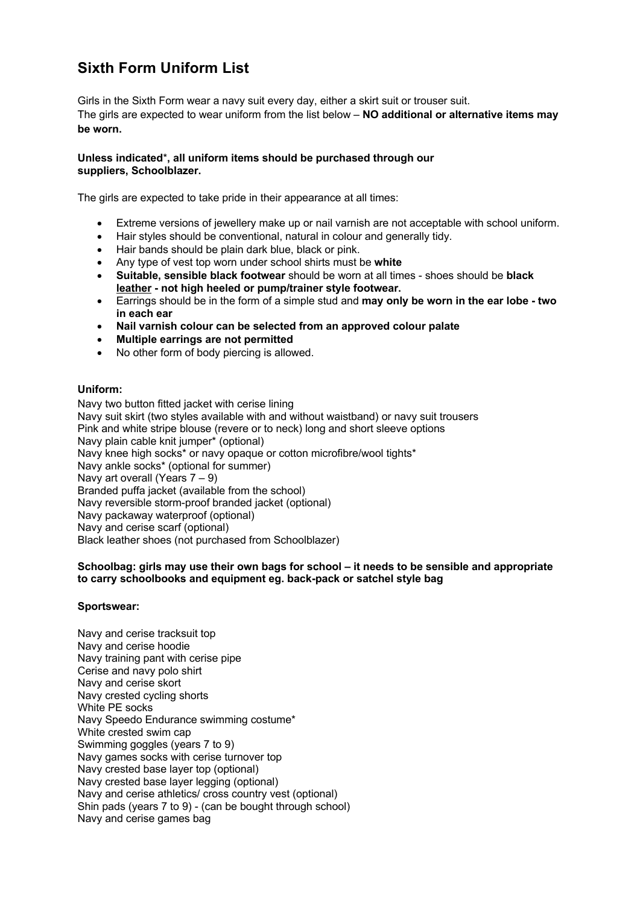# **Sixth Form Uniform List**

Girls in the Sixth Form wear a navy suit every day, either a skirt suit or trouser suit. The girls are expected to wear uniform from the list below – **NO additional or alternative items may be worn.** 

#### **Unless indicated**\***, all uniform items should be purchased through our suppliers, Schoolblazer.**

The girls are expected to take pride in their appearance at all times:

- Extreme versions of jewellery make up or nail varnish are not acceptable with school uniform.
- Hair styles should be conventional, natural in colour and generally tidy.
- Hair bands should be plain dark blue, black or pink.
- Any type of vest top worn under school shirts must be **white**
- **Suitable, sensible black footwear** should be worn at all times shoes should be **black leather - not high heeled or pump/trainer style footwear.**
- Earrings should be in the form of a simple stud and **may only be worn in the ear lobe - two in each ear**
- **Nail varnish colour can be selected from an approved colour palate**
- **Multiple earrings are not permitted**
- No other form of body piercing is allowed.

#### **Uniform:**

Navy two button fitted jacket with cerise lining Navy suit skirt (two styles available with and without waistband) or navy suit trousers Pink and white stripe blouse (revere or to neck) long and short sleeve options Navy plain cable knit jumper\* (optional) Navy knee high socks<sup>\*</sup> or navy opaque or cotton microfibre/wool tights<sup>\*</sup> Navy ankle socks\* (optional for summer) Navy art overall (Years 7 – 9) Branded puffa jacket (available from the school) Navy reversible storm-proof branded jacket (optional) Navy packaway waterproof (optional) Navy and cerise scarf (optional) Black leather shoes (not purchased from Schoolblazer)

#### **Schoolbag: girls may use their own bags for school – it needs to be sensible and appropriate to carry schoolbooks and equipment eg. back-pack or satchel style bag**

#### **Sportswear:**

Navy and cerise tracksuit top Navy and cerise hoodie Navy training pant with cerise pipe Cerise and navy polo shirt Navy and cerise skort Navy crested cycling shorts White PE socks Navy Speedo Endurance swimming costume\* White crested swim cap Swimming goggles (years 7 to 9) Navy games socks with cerise turnover top Navy crested base layer top (optional) Navy crested base layer legging (optional) Navy and cerise athletics/ cross country vest (optional) Shin pads (years 7 to 9) - (can be bought through school) Navy and cerise games bag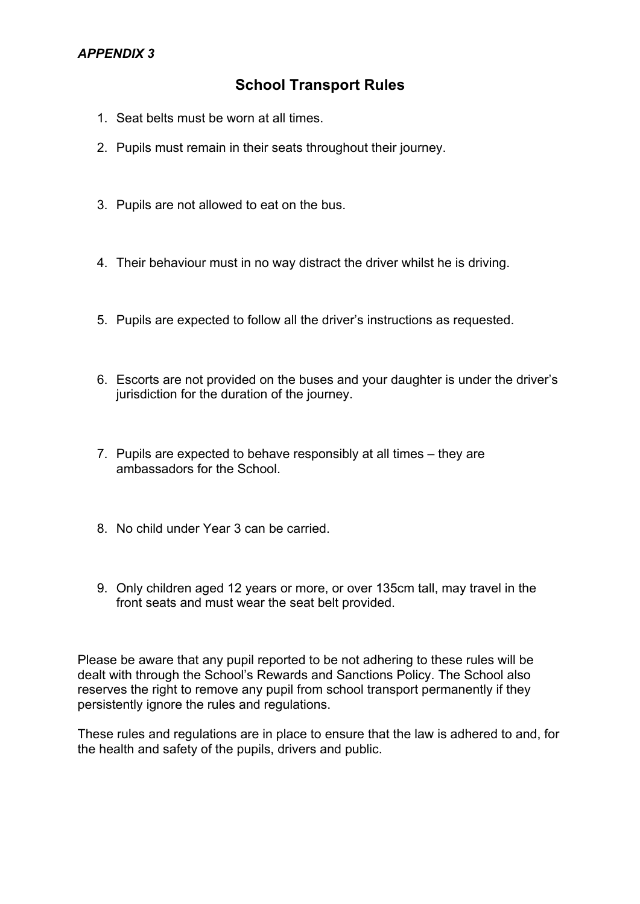### *APPENDIX 3*

# **School Transport Rules**

- 1. Seat belts must be worn at all times.
- 2. Pupils must remain in their seats throughout their journey.
- 3. Pupils are not allowed to eat on the bus.
- 4. Their behaviour must in no way distract the driver whilst he is driving.
- 5. Pupils are expected to follow all the driver's instructions as requested.
- 6. Escorts are not provided on the buses and your daughter is under the driver's jurisdiction for the duration of the journey.
- 7. Pupils are expected to behave responsibly at all times they are ambassadors for the School.
- 8. No child under Year 3 can be carried.
- 9. Only children aged 12 years or more, or over 135cm tall, may travel in the front seats and must wear the seat belt provided.

Please be aware that any pupil reported to be not adhering to these rules will be dealt with through the School's Rewards and Sanctions Policy. The School also reserves the right to remove any pupil from school transport permanently if they persistently ignore the rules and regulations.

These rules and regulations are in place to ensure that the law is adhered to and, for the health and safety of the pupils, drivers and public.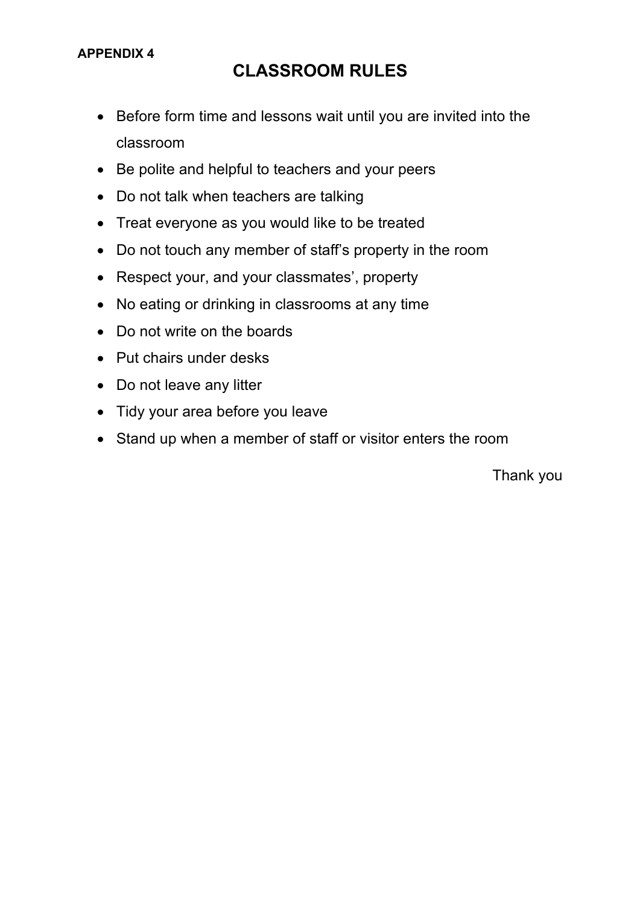# **CLASSROOM RULES**

- Before form time and lessons wait until you are invited into the classroom
- Be polite and helpful to teachers and your peers
- Do not talk when teachers are talking
- Treat everyone as you would like to be treated
- Do not touch any member of staff's property in the room
- Respect your, and your classmates', property
- No eating or drinking in classrooms at any time
- Do not write on the boards
- Put chairs under desks
- Do not leave any litter
- Tidy your area before you leave
- Stand up when a member of staff or visitor enters the room

Thank you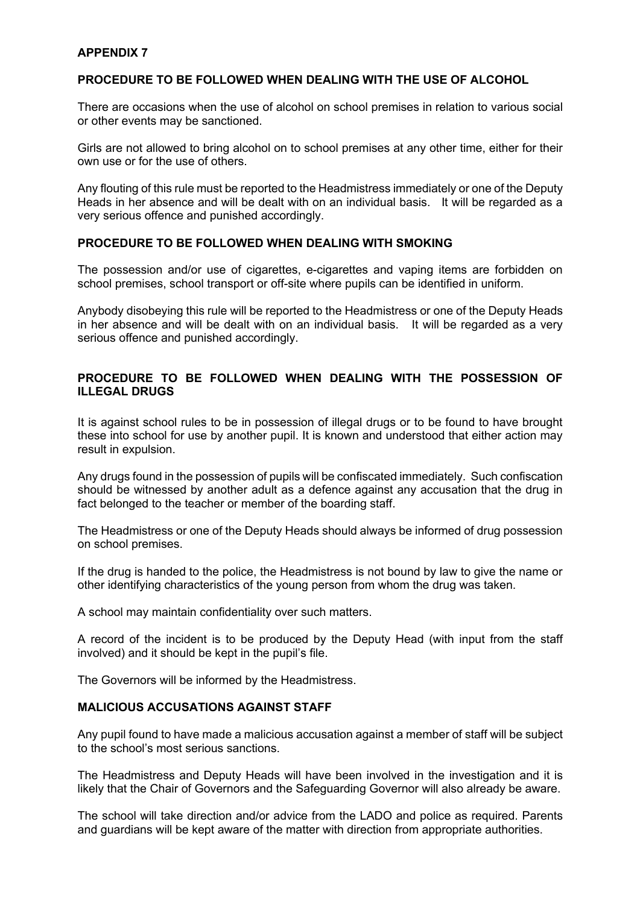#### **APPENDIX 7**

#### **PROCEDURE TO BE FOLLOWED WHEN DEALING WITH THE USE OF ALCOHOL**

There are occasions when the use of alcohol on school premises in relation to various social or other events may be sanctioned.

Girls are not allowed to bring alcohol on to school premises at any other time, either for their own use or for the use of others.

Any flouting of this rule must be reported to the Headmistress immediately or one of the Deputy Heads in her absence and will be dealt with on an individual basis. It will be regarded as a very serious offence and punished accordingly.

#### **PROCEDURE TO BE FOLLOWED WHEN DEALING WITH SMOKING**

The possession and/or use of cigarettes, e-cigarettes and vaping items are forbidden on school premises, school transport or off-site where pupils can be identified in uniform.

Anybody disobeying this rule will be reported to the Headmistress or one of the Deputy Heads in her absence and will be dealt with on an individual basis. It will be regarded as a very serious offence and punished accordingly.

### **PROCEDURE TO BE FOLLOWED WHEN DEALING WITH THE POSSESSION OF ILLEGAL DRUGS**

It is against school rules to be in possession of illegal drugs or to be found to have brought these into school for use by another pupil. It is known and understood that either action may result in expulsion.

Any drugs found in the possession of pupils will be confiscated immediately. Such confiscation should be witnessed by another adult as a defence against any accusation that the drug in fact belonged to the teacher or member of the boarding staff.

The Headmistress or one of the Deputy Heads should always be informed of drug possession on school premises.

If the drug is handed to the police, the Headmistress is not bound by law to give the name or other identifying characteristics of the young person from whom the drug was taken.

A school may maintain confidentiality over such matters.

A record of the incident is to be produced by the Deputy Head (with input from the staff involved) and it should be kept in the pupil's file.

The Governors will be informed by the Headmistress.

#### **MALICIOUS ACCUSATIONS AGAINST STAFF**

Any pupil found to have made a malicious accusation against a member of staff will be subject to the school's most serious sanctions.

The Headmistress and Deputy Heads will have been involved in the investigation and it is likely that the Chair of Governors and the Safeguarding Governor will also already be aware.

The school will take direction and/or advice from the LADO and police as required. Parents and guardians will be kept aware of the matter with direction from appropriate authorities.